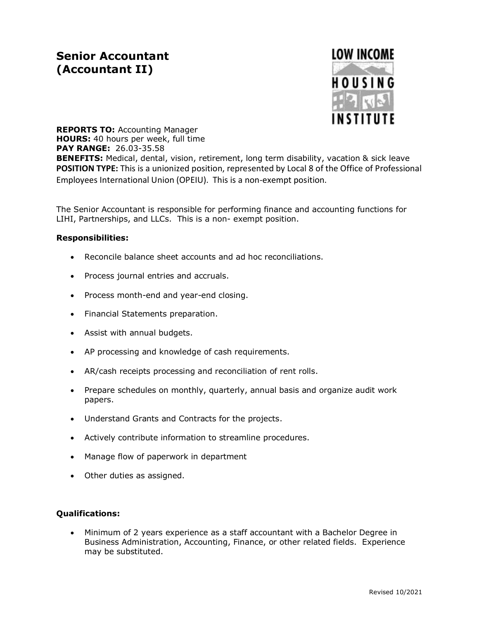# **Senior Accountant (Accountant II)**



**REPORTS TO:** Accounting Manager **HOURS:** 40 hours per week, full time **PAY RANGE:** 26.03-35.58 **BENEFITS:** Medical, dental, vision, retirement, long term disability, vacation & sick leave **POSITION TYPE:** This is a unionized position, represented by Local 8 of the Office of Professional Employees International Union (OPEIU). This is a non-exempt position.

The Senior Accountant is responsible for performing finance and accounting functions for LIHI, Partnerships, and LLCs. This is a non- exempt position.

#### **Responsibilities:**

- Reconcile balance sheet accounts and ad hoc reconciliations.
- Process journal entries and accruals.
- Process month-end and year-end closing.
- Financial Statements preparation.
- Assist with annual budgets.
- AP processing and knowledge of cash requirements.
- AR/cash receipts processing and reconciliation of rent rolls.
- Prepare schedules on monthly, quarterly, annual basis and organize audit work papers.
- Understand Grants and Contracts for the projects.
- Actively contribute information to streamline procedures.
- Manage flow of paperwork in department
- Other duties as assigned.

## **Qualifications:**

 Minimum of 2 years experience as a staff accountant with a Bachelor Degree in Business Administration, Accounting, Finance, or other related fields. Experience may be substituted.